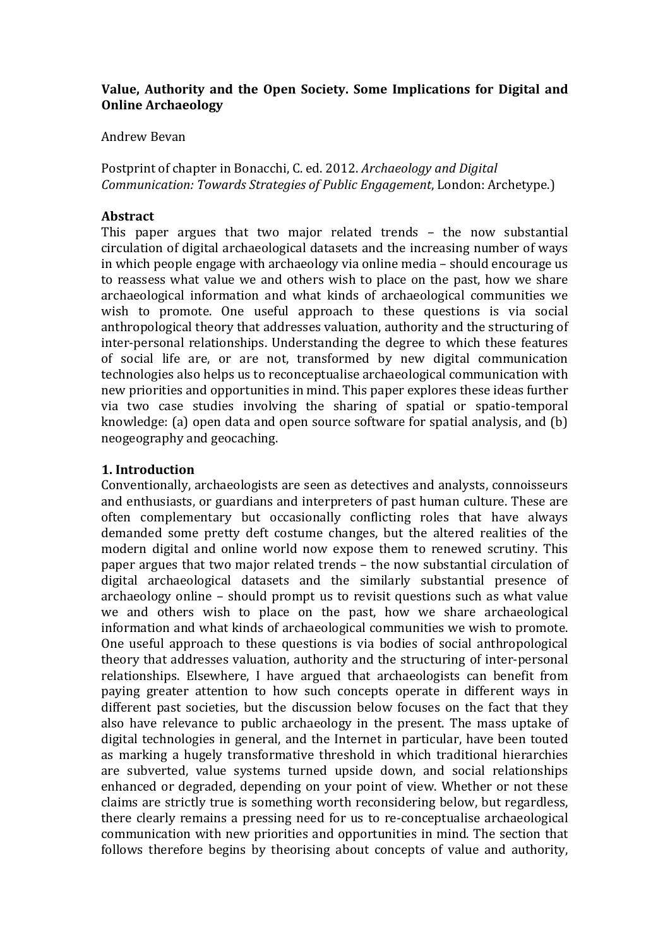# Value, Authority and the Open Society. Some Implications for Digital and **Online Archaeology**

#### Andrew!Bevan

Postprint of chapter in Bonacchi, C. ed. 2012. *Archaeology and Digital Communication:+Towards+Strategies+of+Public+Engagement*,!London:!Archetype.)

# **Abstract**

This paper argues that two major related trends – the now substantial circulation of digital archaeological datasets and the increasing number of ways in which people engage with archaeology via online media – should encourage us to reassess what value we and others wish to place on the past, how we share archaeological information and what kinds of archaeological communities we wish to promote. One useful approach to these questions is via social anthropological theory that addresses valuation, authority and the structuring of inter-personal relationships. Understanding the degree to which these features of social life are, or are not, transformed by new digital communication technologies also helps us to reconceptualise archaeological communication with new priorities and opportunities in mind. This paper explores these ideas further via two case studies involving the sharing of spatial or spatio-temporal knowledge: (a) open data and open source software for spatial analysis, and (b) neogeography and geocaching.

## **1.'Introduction**

Conventionally, archaeologists are seen as detectives and analysts, connoisseurs and enthusiasts, or guardians and interpreters of past human culture. These are often complementary but occasionally conflicting roles that have always demanded some pretty deft costume changes, but the altered realities of the modern digital and online world now expose them to renewed scrutiny. This paper argues that two major related trends – the now substantial circulation of digital archaeological datasets and the similarly substantial presence of archaeology online – should prompt us to revisit questions such as what value we and others wish to place on the past, how we share archaeological information and what kinds of archaeological communities we wish to promote. One useful approach to these questions is via bodies of social anthropological theory that addresses valuation, authority and the structuring of inter-personal relationships. Elsewhere, I have argued that archaeologists can benefit from paying greater attention to how such concepts operate in different ways in different past societies, but the discussion below focuses on the fact that they also have relevance to public archaeology in the present. The mass uptake of digital technologies in general, and the Internet in particular, have been touted as marking a hugely transformative threshold in which traditional hierarchies are subverted, value systems turned upside down, and social relationships enhanced or degraded, depending on your point of view. Whether or not these claims are strictly true is something worth reconsidering below, but regardless, there clearly remains a pressing need for us to re-conceptualise archaeological communication with new priorities and opportunities in mind. The section that follows therefore begins by theorising about concepts of value and authority,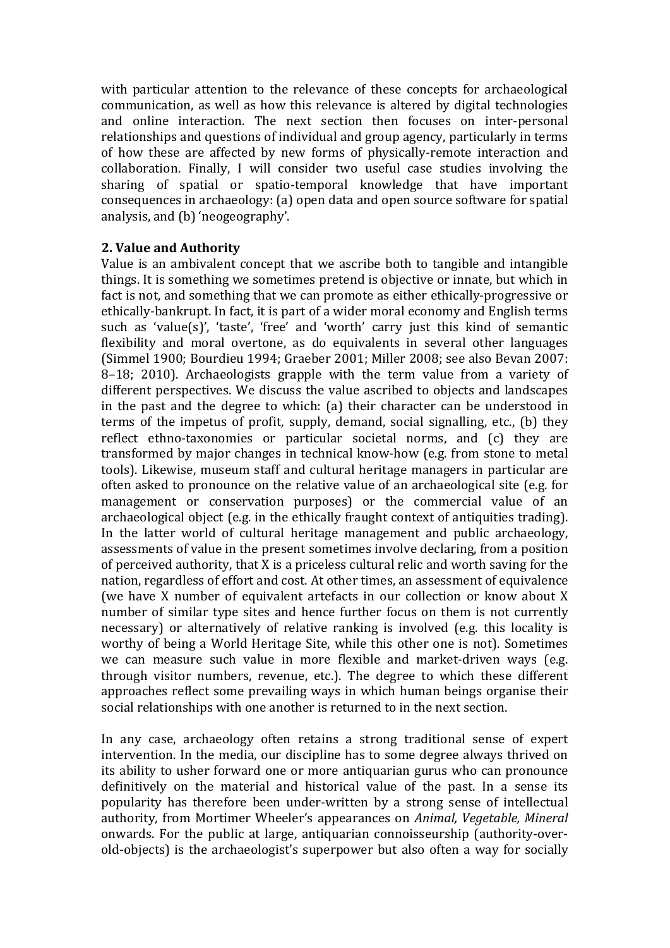with particular attention to the relevance of these concepts for archaeological communication, as well as how this relevance is altered by digital technologies and online interaction. The next section then focuses on inter-personal relationships and questions of individual and group agency, particularly in terms of how these are affected by new forms of physically-remote interaction and collaboration. Finally, I will consider two useful case studies involving the sharing of spatial or spatio-temporal knowledge that have important consequences in archaeology: (a) open data and open source software for spatial analysis, and (b) 'neogeography'.

## **2.'Value'and'Authority**

Value is an ambivalent concept that we ascribe both to tangible and intangible things. It is something we sometimes pretend is objective or innate, but which in fact is not, and something that we can promote as either ethically-progressive or ethically-bankrupt. In fact, it is part of a wider moral economy and English terms such as 'value(s)', 'taste', 'free' and 'worth' carry just this kind of semantic flexibility and moral overtone, as do equivalents in several other languages (Simmel 1900; Bourdieu 1994; Graeber 2001; Miller 2008; see also Bevan 2007: 8–18; 2010). Archaeologists grapple with the term value from a variety of different perspectives. We discuss the value ascribed to objects and landscapes in the past and the degree to which: (a) their character can be understood in terms of the impetus of profit, supply, demand, social signalling, etc., (b) they reflect ethno-taxonomies or particular societal norms, and (c) they are transformed by major changes in technical know-how (e.g. from stone to metal tools). Likewise, museum staff and cultural heritage managers in particular are often asked to pronounce on the relative value of an archaeological site (e.g. for management or conservation purposes) or the commercial value of an archaeological object (e.g. in the ethically fraught context of antiquities trading). In the latter world of cultural heritage management and public archaeology, assessments of value in the present sometimes involve declaring, from a position of perceived authority, that  $X$  is a priceless cultural relic and worth saving for the nation, regardless of effort and cost. At other times, an assessment of equivalence (we have X number of equivalent artefacts in our collection or know about X number of similar type sites and hence further focus on them is not currently necessary) or alternatively of relative ranking is involved (e.g. this locality is worthy of being a World Heritage Site, while this other one is not). Sometimes we can measure such value in more flexible and market-driven ways (e.g.) through visitor numbers, revenue, etc.). The degree to which these different approaches reflect some prevailing ways in which human beings organise their social relationships with one another is returned to in the next section.

In any case, archaeology often retains a strong traditional sense of expert intervention. In the media, our discipline has to some degree always thrived on its ability to usher forward one or more antiquarian gurus who can pronounce definitively on the material and historical value of the past. In a sense its popularity has therefore been under-written by a strong sense of intellectual authority, from Mortimer Wheeler's appearances on *Animal, Vegetable, Mineral* onwards. For the public at large, antiquarian connoisseurship (authority-overold-objects) is the archaeologist's superpower but also often a way for socially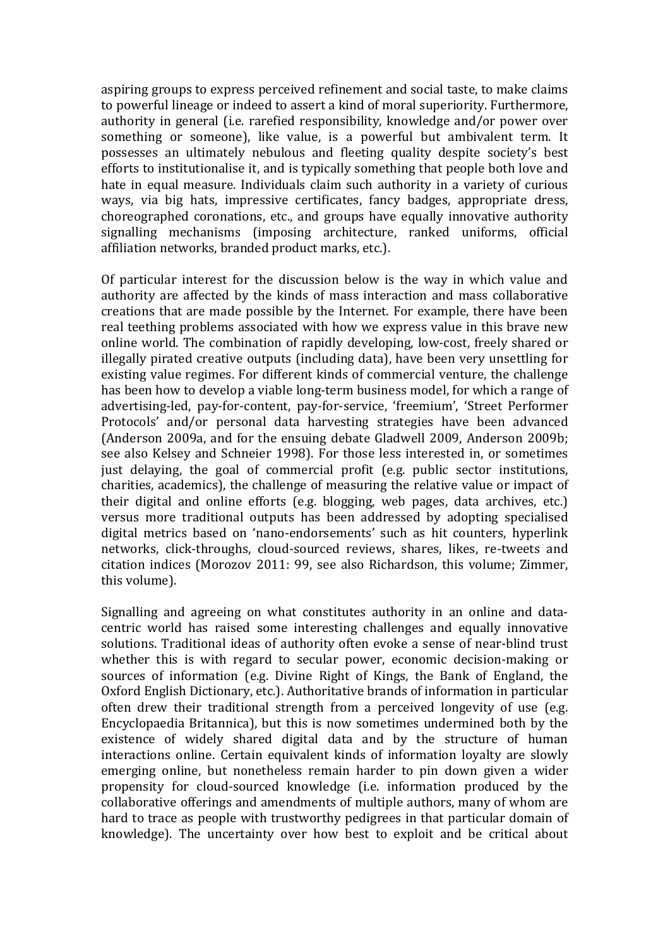aspiring groups to express perceived refinement and social taste, to make claims to powerful lineage or indeed to assert a kind of moral superiority. Furthermore, authority in general (i.e. rarefied responsibility, knowledge and/or power over something or someone), like value, is a powerful but ambivalent term. It possesses an ultimately nebulous and fleeting quality despite society's best efforts to institutionalise it, and is typically something that people both love and hate in equal measure. Individuals claim such authority in a variety of curious ways, via big hats, impressive certificates, fancy badges, appropriate dress, choreographed coronations, etc., and groups have equally innovative authority signalling mechanisms (imposing architecture, ranked uniforms, official affiliation networks, branded product marks, etc.).

Of particular interest for the discussion below is the way in which value and authority are affected by the kinds of mass interaction and mass collaborative creations that are made possible by the Internet. For example, there have been real teething problems associated with how we express value in this brave new online world. The combination of rapidly developing, low-cost, freely shared or illegally pirated creative outputs (including data), have been very unsettling for existing value regimes. For different kinds of commercial venture, the challenge has been how to develop a viable long-term business model, for which a range of advertising-led, pay-for-content, pay-for-service, 'freemium', 'Street Performer Protocols' and/or personal data harvesting strategies have been advanced (Anderson 2009a, and for the ensuing debate Gladwell 2009, Anderson 2009b; see also Kelsey and Schneier 1998). For those less interested in, or sometimes just delaying, the goal of commercial profit (e.g. public sector institutions, charities, academics), the challenge of measuring the relative value or impact of their digital and online efforts (e.g. blogging, web pages, data archives, etc.) versus more traditional outputs has been addressed by adopting specialised digital metrics based on 'nano-endorsements' such as hit counters, hyperlink networks, click-throughs, cloud-sourced reviews, shares, likes, re-tweets and citation indices (Morozov 2011: 99, see also Richardson, this volume: Zimmer, this volume).

Signalling and agreeing on what constitutes authority in an online and datacentric world has raised some interesting challenges and equally innovative solutions. Traditional ideas of authority often evoke a sense of near-blind trust whether this is with regard to secular power, economic decision-making or sources of information (e.g. Divine Right of Kings, the Bank of England, the Oxford English Dictionary, etc.). Authoritative brands of information in particular often drew their traditional strength from a perceived longevity of use (e.g. Encyclopaedia Britannica), but this is now sometimes undermined both by the existence of widely shared digital data and by the structure of human interactions online. Certain equivalent kinds of information loyalty are slowly emerging online, but nonetheless remain harder to pin down given a wider propensity for cloud-sourced knowledge (i.e. information produced by the collaborative offerings and amendments of multiple authors, many of whom are hard to trace as people with trustworthy pedigrees in that particular domain of knowledge). The uncertainty over how best to exploit and be critical about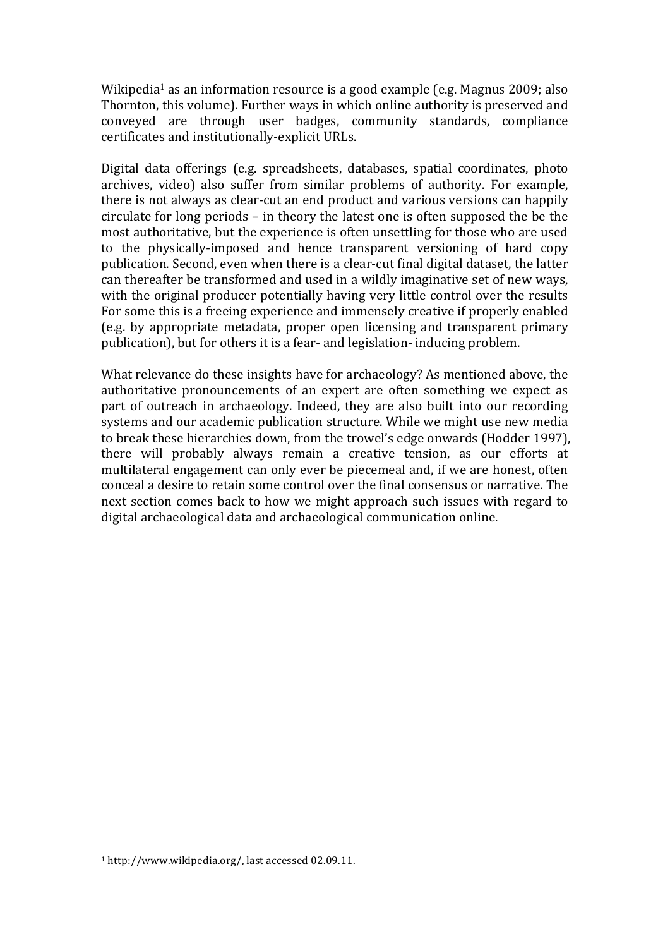Wikipedia<sup>1</sup> as an information resource is a good example (e.g. Magnus 2009; also Thornton, this volume). Further ways in which online authority is preserved and conveyed are through user badges, community standards, compliance certificates and institutionally-explicit URLs.

Digital data offerings (e.g. spreadsheets, databases, spatial coordinates, photo archives, video) also suffer from similar problems of authority. For example, there is not always as clear-cut an end product and various versions can happily circulate for long periods – in theory the latest one is often supposed the be the most authoritative, but the experience is often unsettling for those who are used to the physically-imposed and hence transparent versioning of hard copy publication. Second, even when there is a clear-cut final digital dataset, the latter can thereafter be transformed and used in a wildly imaginative set of new ways, with the original producer potentially having very little control over the results For some this is a freeing experience and immensely creative if properly enabled (e.g. by appropriate metadata, proper open licensing and transparent primary publication), but for others it is a fear- and legislation- inducing problem.

What relevance do these insights have for archaeology? As mentioned above, the authoritative pronouncements of an expert are often something we expect as part of outreach in archaeology. Indeed, they are also built into our recording systems and our academic publication structure. While we might use new media to break these hierarchies down, from the trowel's edge onwards (Hodder 1997), there will probably always remain a creative tension, as our efforts at multilateral engagement can only ever be piecemeal and, if we are honest, often conceal a desire to retain some control over the final consensus or narrative. The next section comes back to how we might approach such issues with regard to digital archaeological data and archaeological communication online.

<sup>&</sup>lt;sup>1</sup> http://www.wikipedia.org/, last accessed 02.09.11.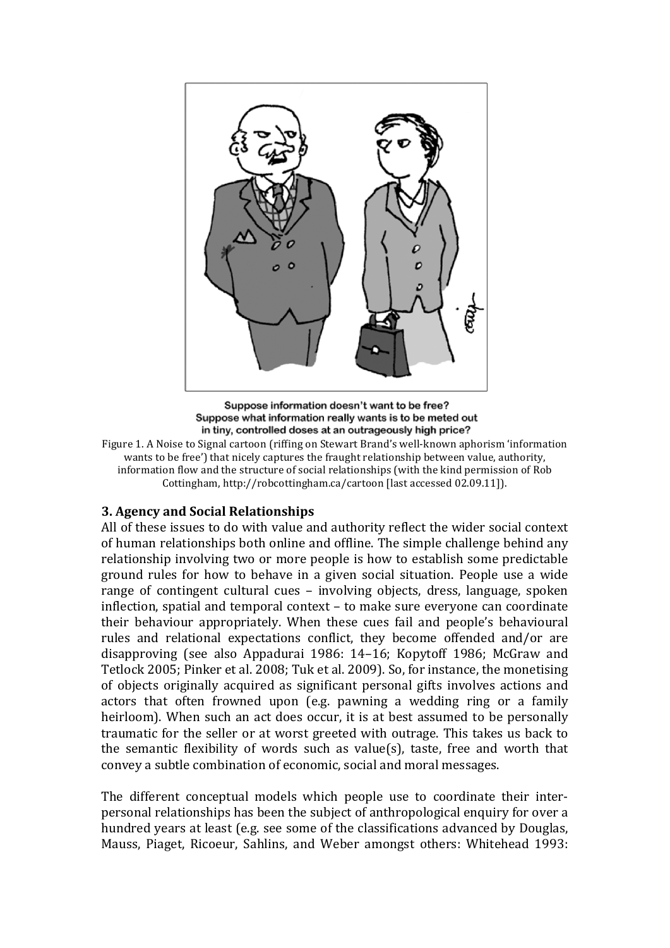

Suppose information doesn't want to be free? Suppose what information really wants is to be meted out in tiny, controlled doses at an outrageously high price?

Figure 1. A Noise to Signal cartoon (riffing on Stewart Brand's well-known aphorism 'information wants to be free') that nicely captures the fraught relationship between value, authority, information flow and the structure of social relationships (with the kind permission of Rob Cottingham, http://robcottingham.ca/cartoon [last accessed 02.09.11]).

## **3. Agency and Social Relationships**

All of these issues to do with value and authority reflect the wider social context of human relationships both online and offline. The simple challenge behind any relationship involving two or more people is how to establish some predictable ground rules for how to behave in a given social situation. People use a wide range of contingent cultural cues – involving objects, dress, language, spoken inflection, spatial and temporal context – to make sure everyone can coordinate their behaviour appropriately. When these cues fail and people's behavioural rules and relational expectations conflict, they become offended and/or are disapproving (see also Appadurai 1986: 14–16; Kopytoff 1986; McGraw and Tetlock 2005; Pinker et al. 2008; Tuk et al. 2009). So, for instance, the monetising of objects originally acquired as significant personal gifts involves actions and actors that often frowned upon (e.g. pawning a wedding ring or a family heirloom). When such an act does occur, it is at best assumed to be personally traumatic for the seller or at worst greeted with outrage. This takes us back to the semantic flexibility of words such as value(s), taste, free and worth that convey a subtle combination of economic, social and moral messages.

The different conceptual models which people use to coordinate their interpersonal relationships has been the subject of anthropological enquiry for over a hundred years at least (e.g. see some of the classifications advanced by Douglas, Mauss, Piaget, Ricoeur, Sahlins, and Weber amongst others: Whitehead 1993: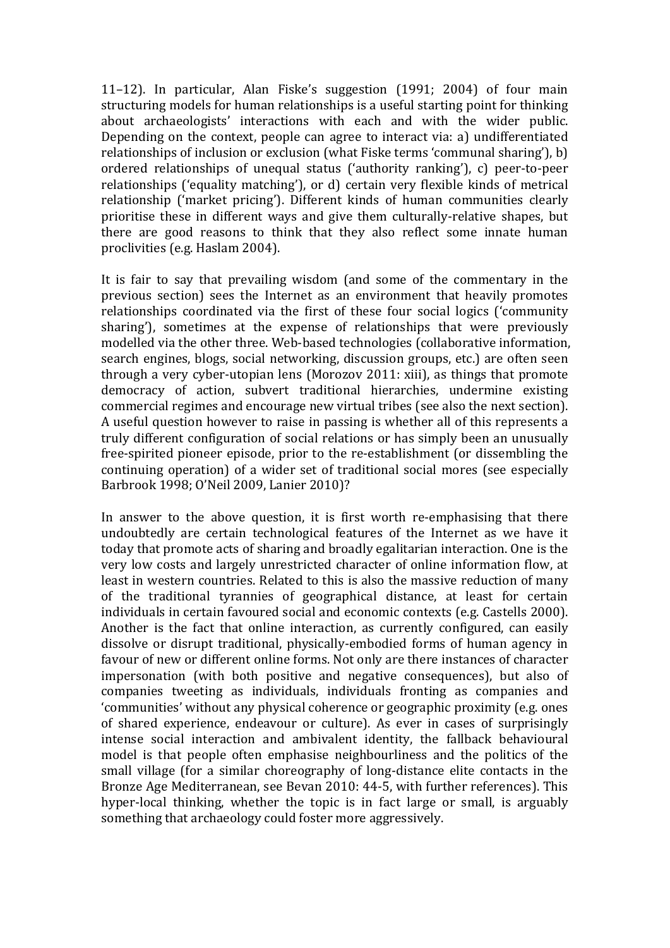11–12). In particular, Alan Fiske's suggestion  $(1991; 2004)$  of four main structuring models for human relationships is a useful starting point for thinking about archaeologists' interactions with each and with the wider public. Depending on the context, people can agree to interact via: a) undifferentiated relationships of inclusion or exclusion (what Fiske terms 'communal sharing'), b) ordered relationships of unequal status ('authority ranking'), c) peer-to-peer relationships ('equality matching'), or d) certain very flexible kinds of metrical relationship ('market pricing'). Different kinds of human communities clearly prioritise these in different ways and give them culturally-relative shapes, but there are good reasons to think that they also reflect some innate human proclivities (e.g. Haslam 2004).

It is fair to say that prevailing wisdom (and some of the commentary in the previous section) sees the Internet as an environment that heavily promotes relationships coordinated via the first of these four social logics ('community sharing'), sometimes at the expense of relationships that were previously modelled via the other three. Web-based technologies (collaborative information, search engines, blogs, social networking, discussion groups, etc.) are often seen through a very cyber-utopian lens (Morozov 2011: xiii), as things that promote democracy of action, subvert traditional hierarchies, undermine existing commercial regimes and encourage new virtual tribes (see also the next section). A useful question however to raise in passing is whether all of this represents a truly different configuration of social relations or has simply been an unusually free-spirited pioneer episode, prior to the re-establishment (or dissembling the continuing operation) of a wider set of traditional social mores (see especially Barbrook 1998; O'Neil 2009, Lanier 2010)?

In answer to the above question, it is first worth re-emphasising that there undoubtedly are certain technological features of the Internet as we have it today that promote acts of sharing and broadly egalitarian interaction. One is the very low costs and largely unrestricted character of online information flow, at least in western countries. Related to this is also the massive reduction of many of the traditional tyrannies of geographical distance, at least for certain individuals in certain favoured social and economic contexts (e.g. Castells 2000). Another is the fact that online interaction, as currently configured, can easily dissolve or disrupt traditional, physically-embodied forms of human agency in favour of new or different online forms. Not only are there instances of character impersonation (with both positive and negative consequences), but also of companies tweeting as individuals, individuals fronting as companies and 'communities' without any physical coherence or geographic proximity (e.g. ones of shared experience, endeavour or culture). As ever in cases of surprisingly intense social interaction and ambivalent identity, the fallback behavioural model is that people often emphasise neighbourliness and the politics of the small village (for a similar choreography of long-distance elite contacts in the Bronze Age Mediterranean, see Bevan 2010: 44-5, with further references). This hyper-local thinking, whether the topic is in fact large or small, is arguably something that archaeology could foster more aggressively.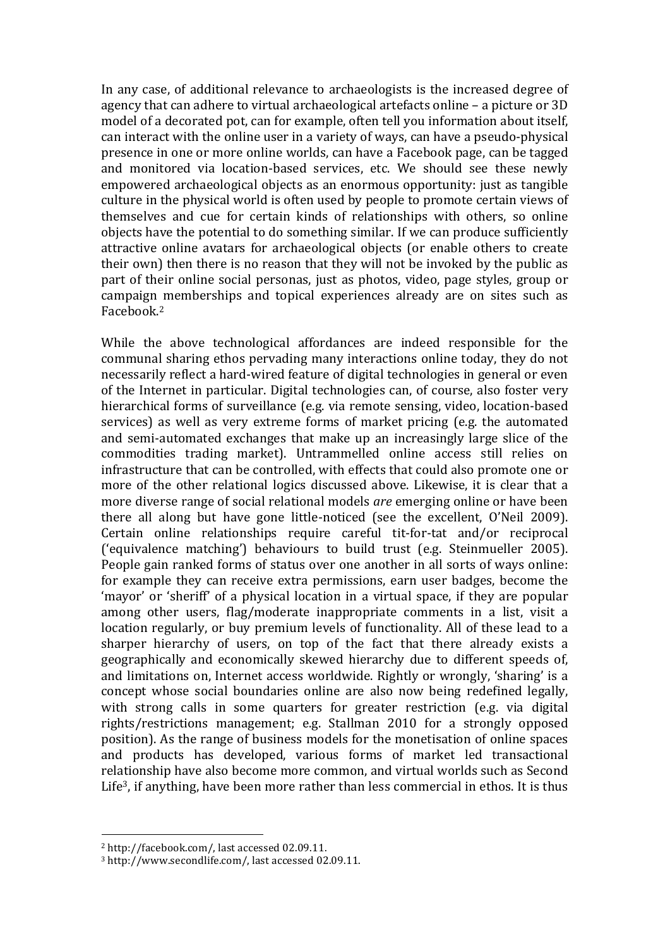In any case, of additional relevance to archaeologists is the increased degree of agency that can adhere to virtual archaeological artefacts online – a picture or 3D model of a decorated pot, can for example, often tell you information about itself, can interact with the online user in a variety of ways, can have a pseudo-physical presence in one or more online worlds, can have a Facebook page, can be tagged and monitored via location-based services, etc. We should see these newly empowered archaeological objects as an enormous opportunity: just as tangible culture in the physical world is often used by people to promote certain views of themselves and cue for certain kinds of relationships with others, so online objects have the potential to do something similar. If we can produce sufficiently attractive online avatars for archaeological objects (or enable others to create their own) then there is no reason that they will not be invoked by the public as part of their online social personas, just as photos, video, page styles, group or campaign memberships and topical experiences already are on sites such as Facebook. 2

While the above technological affordances are indeed responsible for the communal sharing ethos pervading many interactions online today, they do not necessarily reflect a hard-wired feature of digital technologies in general or even of the Internet in particular. Digital technologies can, of course, also foster very hierarchical forms of surveillance (e.g. via remote sensing, video, location-based services) as well as very extreme forms of market pricing (e.g. the automated and semi-automated exchanges that make up an increasingly large slice of the commodities trading market). Untrammelled online access still relies on infrastructure that can be controlled, with effects that could also promote one or more of the other relational logics discussed above. Likewise, it is clear that a more diverse range of social relational models *are* emerging online or have been there all along but have gone little-noticed (see the excellent, O'Neil 2009). Certain online relationships require careful tit-for-tat and/or reciprocal ('equivalence matching') behaviours to build trust (e.g. Steinmueller 2005). People gain ranked forms of status over one another in all sorts of ways online: for example they can receive extra permissions, earn user badges, become the 'mayor' or 'sheriff' of a physical location in a virtual space, if they are popular among other users, flag/moderate inappropriate comments in a list, visit a location regularly, or buy premium levels of functionality. All of these lead to a sharper hierarchy of users, on top of the fact that there already exists a geographically and economically skewed hierarchy due to different speeds of, and limitations on, Internet access worldwide. Rightly or wrongly, 'sharing' is a concept whose social boundaries online are also now being redefined legally, with strong calls in some quarters for greater restriction (e.g. via digital rights/restrictions management; e.g. Stallman 2010 for a strongly opposed position). As the range of business models for the monetisation of online spaces and products has developed, various forms of market led transactional relationship have also become more common, and virtual worlds such as Second Life<sup>3</sup>, if anything, have been more rather than less commercial in ethos. It is thus

<sup>&</sup>lt;sup>2</sup> http://facebook.com/, last accessed 02.09.11.

<sup>&</sup>lt;sup>3</sup> http://www.secondlife.com/, last accessed 02.09.11.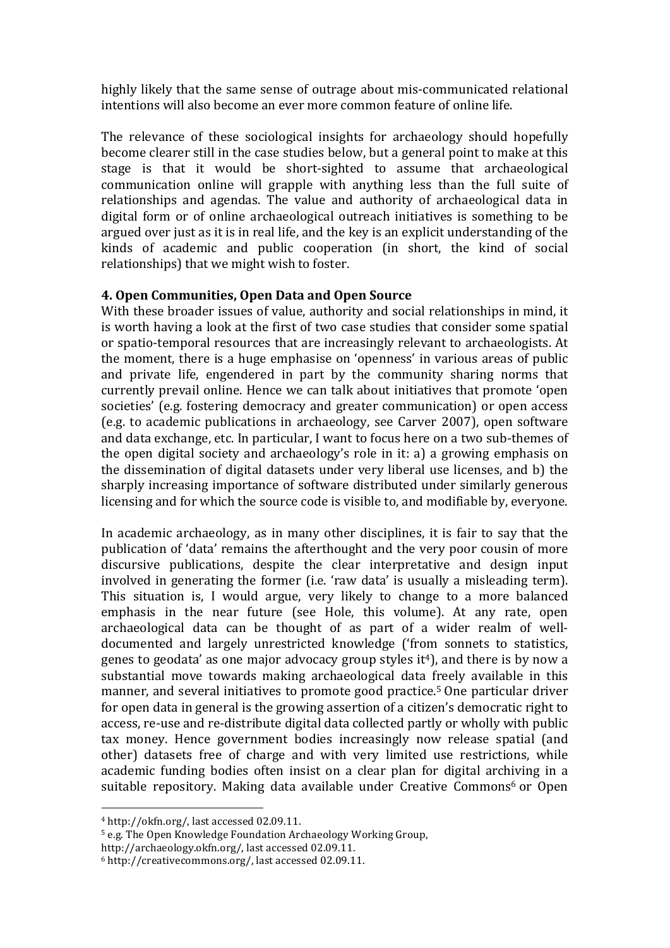highly likely that the same sense of outrage about mis-communicated relational intentions will also become an ever more common feature of online life.

The relevance of these sociological insights for archaeology should hopefully become clearer still in the case studies below, but a general point to make at this stage is that it would be short-sighted to assume that archaeological communication online will grapple with anything less than the full suite of relationships and agendas. The value and authority of archaeological data in digital form or of online archaeological outreach initiatives is something to be argued over just as it is in real life, and the key is an explicit understanding of the kinds of academic and public cooperation (in short, the kind of social relationships) that we might wish to foster.

## **4.'Open'Communities,'Open'Data'and'Open'Source'**

With these broader issues of value, authority and social relationships in mind, it is worth having a look at the first of two case studies that consider some spatial or spatio-temporal resources that are increasingly relevant to archaeologists. At the moment, there is a huge emphasise on 'openness' in various areas of public and private life, engendered in part by the community sharing norms that currently prevail online. Hence we can talk about initiatives that promote 'open societies' (e.g. fostering democracy and greater communication) or open access (e.g. to academic publications in archaeology, see Carver 2007), open software and data exchange, etc. In particular, I want to focus here on a two sub-themes of the open digital society and archaeology's role in it: a) a growing emphasis on the dissemination of digital datasets under very liberal use licenses, and b) the sharply increasing importance of software distributed under similarly generous licensing and for which the source code is visible to, and modifiable by, everyone.

In academic archaeology, as in many other disciplines, it is fair to say that the publication of 'data' remains the afterthought and the very poor cousin of more discursive publications, despite the clear interpretative and design input involved in generating the former (i.e. 'raw data' is usually a misleading term). This situation is, I would argue, very likely to change to a more balanced emphasis in the near future (see Hole, this volume). At any rate, open archaeological data can be thought of as part of a wider realm of welldocumented and largely unrestricted knowledge ('from sonnets to statistics, genes to geodata' as one major advocacy group styles it<sup>4</sup>), and there is by now a substantial move towards making archaeological data freely available in this manner, and several initiatives to promote good practice.<sup>5</sup> One particular driver for open data in general is the growing assertion of a citizen's democratic right to access, re-use and re-distribute digital data collected partly or wholly with public tax money. Hence government bodies increasingly now release spatial (and other) datasets free of charge and with very limited use restrictions, while academic funding bodies often insist on a clear plan for digital archiving in a suitable repository. Making data available under Creative Commons<sup>6</sup> or Open

 $4$  http://okfn.org/, last accessed 02.09.11.

<sup>&</sup>lt;sup>5</sup> e.g. The Open Knowledge Foundation Archaeology Working Group.

http://archaeology.okfn.org/, last accessed 02.09.11.

 $6$  http://creativecommons.org/, last accessed 02.09.11.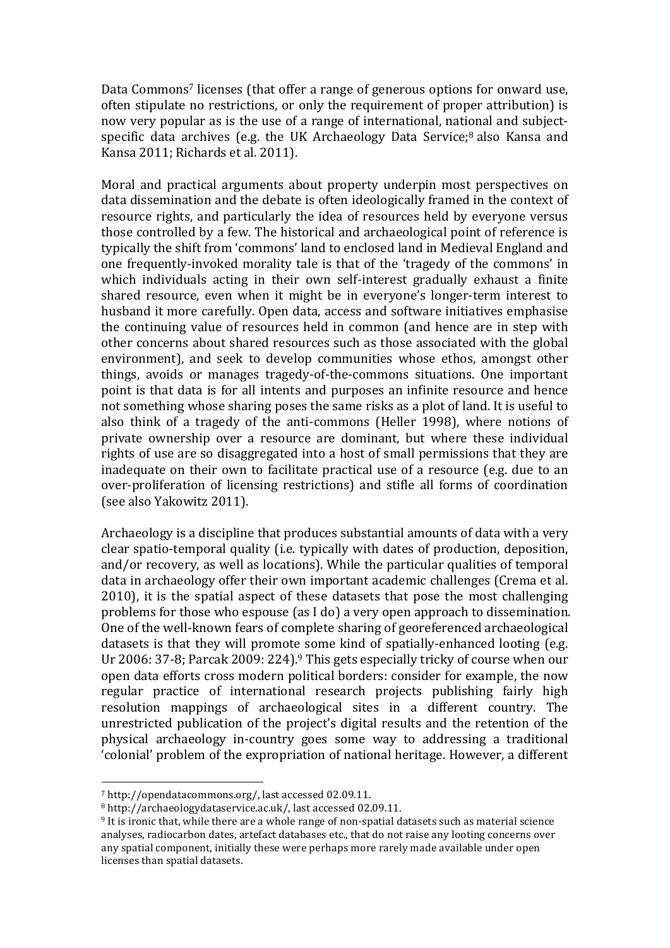Data Commons<sup>7</sup> licenses (that offer a range of generous options for onward use, often stipulate no restrictions, or only the requirement of proper attribution) is now very popular as is the use of a range of international, national and subjectspecific data archives (e.g. the UK Archaeology Data Service; $8$  also Kansa and Kansa 2011; Richards et al. 2011).

Moral and practical arguments about property underpin most perspectives on data dissemination and the debate is often ideologically framed in the context of resource rights, and particularly the idea of resources held by everyone versus those controlled by a few. The historical and archaeological point of reference is typically the shift from 'commons' land to enclosed land in Medieval England and one frequently-invoked morality tale is that of the 'tragedy of the commons' in which individuals acting in their own self-interest gradually exhaust a finite shared resource, even when it might be in everyone's longer-term interest to husband it more carefully. Open data, access and software initiatives emphasise the continuing value of resources held in common (and hence are in step with other concerns about shared resources such as those associated with the global environment), and seek to develop communities whose ethos, amongst other things, avoids or manages tragedy-of-the-commons situations. One important point is that data is for all intents and purposes an infinite resource and hence not something whose sharing poses the same risks as a plot of land. It is useful to also think of a tragedy of the anti-commons (Heller 1998), where notions of private ownership over a resource are dominant, but where these individual rights of use are so disaggregated into a host of small permissions that they are inadequate on their own to facilitate practical use of a resource (e.g. due to an over-proliferation of licensing restrictions) and stifle all forms of coordination (see also Yakowitz 2011).

Archaeology is a discipline that produces substantial amounts of data with a very clear spatio-temporal quality (i.e. typically with dates of production, deposition, and/or recovery, as well as locations). While the particular qualities of temporal data in archaeology offer their own important academic challenges (Crema et al. 2010), it is the spatial aspect of these datasets that pose the most challenging problems for those who espouse (as I do) a very open approach to dissemination. One of the well-known fears of complete sharing of georeferenced archaeological datasets is that they will promote some kind of spatially-enhanced looting (e.g. Ur 2006: 37-8; Parcak 2009: 224).<sup>9</sup> This gets especially tricky of course when our open data efforts cross modern political borders: consider for example, the now regular practice of international research projects publishing fairly high resolution mappings of archaeological sites in a different country. The unrestricted publication of the project's digital results and the retention of the physical archaeology in-country goes some way to addressing a traditional 'colonial' problem of the expropriation of national heritage. However, a different

 $7$  http://opendatacommons.org/, last accessed 02.09.11.

<sup>8</sup> http://archaeologydataservice.ac.uk/, last accessed 02.09.11.

<sup>&</sup>lt;sup>9</sup> It is ironic that, while there are a whole range of non-spatial datasets such as material science analyses, radiocarbon dates, artefact databases etc., that do not raise any looting concerns over any spatial component, initially these were perhaps more rarely made available under open licenses than spatial datasets.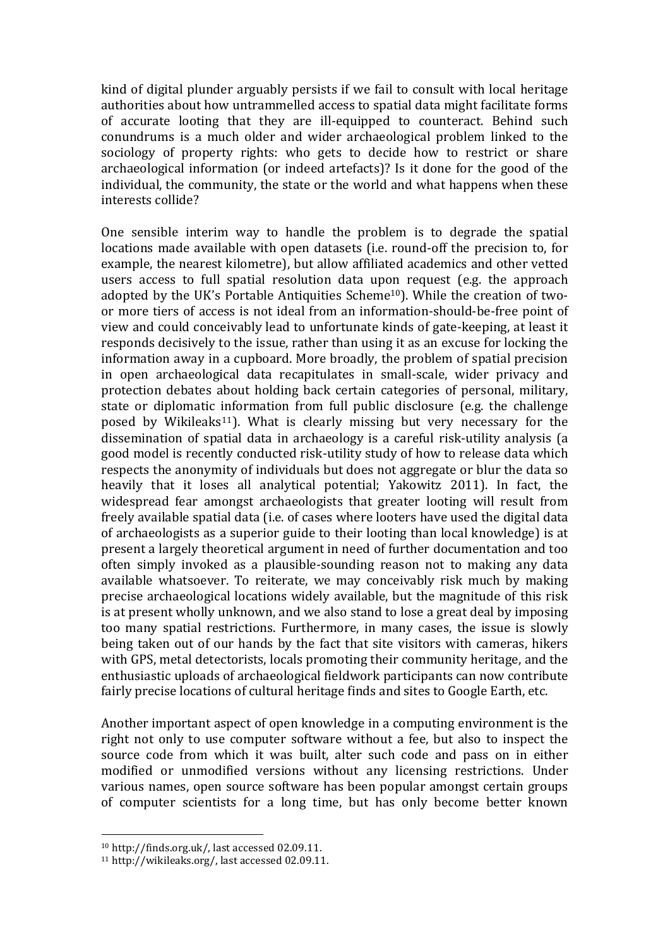kind of digital plunder arguably persists if we fail to consult with local heritage authorities about how untrammelled access to spatial data might facilitate forms of accurate looting that they are ill-equipped to counteract. Behind such conundrums is a much older and wider archaeological problem linked to the sociology of property rights: who gets to decide how to restrict or share archaeological information (or indeed artefacts)? Is it done for the good of the individual, the community, the state or the world and what happens when these interests collide?

One sensible interim way to handle the problem is to degrade the spatial locations made available with open datasets (i.e. round-off the precision to, for example, the nearest kilometre), but allow affiliated academics and other vetted users access to full spatial resolution data upon request (e.g. the approach adopted by the UK's Portable Antiquities Scheme<sup>10</sup>). While the creation of twoor more tiers of access is not ideal from an information-should-be-free point of view and could conceivably lead to unfortunate kinds of gate-keeping, at least it responds decisively to the issue, rather than using it as an excuse for locking the information away in a cupboard. More broadly, the problem of spatial precision in open archaeological data recapitulates in small-scale, wider privacy and protection debates about holding back certain categories of personal, military, state or diplomatic information from full public disclosure (e.g. the challenge posed by Wikileaks<sup>11</sup>). What is clearly missing but very necessary for the dissemination of spatial data in archaeology is a careful risk-utility analysis (a good model is recently conducted risk-utility study of how to release data which respects the anonymity of individuals but does not aggregate or blur the data so heavily that it loses all analytical potential; Yakowitz 2011). In fact, the widespread fear amongst archaeologists that greater looting will result from freely available spatial data (i.e. of cases where looters have used the digital data of archaeologists as a superior guide to their looting than local knowledge) is at present a largely theoretical argument in need of further documentation and too often simply invoked as a plausible-sounding reason not to making any data available whatsoever. To reiterate, we may conceivably risk much by making precise archaeological locations widely available, but the magnitude of this risk is at present wholly unknown, and we also stand to lose a great deal by imposing too many spatial restrictions. Furthermore, in many cases, the issue is slowly being taken out of our hands by the fact that site visitors with cameras, hikers with GPS, metal detectorists, locals promoting their community heritage, and the enthusiastic uploads of archaeological fieldwork participants can now contribute fairly precise locations of cultural heritage finds and sites to Google Earth, etc.

Another important aspect of open knowledge in a computing environment is the right not only to use computer software without a fee, but also to inspect the source code from which it was built, alter such code and pass on in either modified or unmodified versions without any licensing restrictions. Under various names, open source software has been popular amongst certain groups of computer scientists for a long time, but has only become better known

 $10$  http://finds.org.uk/, last accessed 02.09.11.

 $11$  http://wikileaks.org/, last accessed 02.09.11.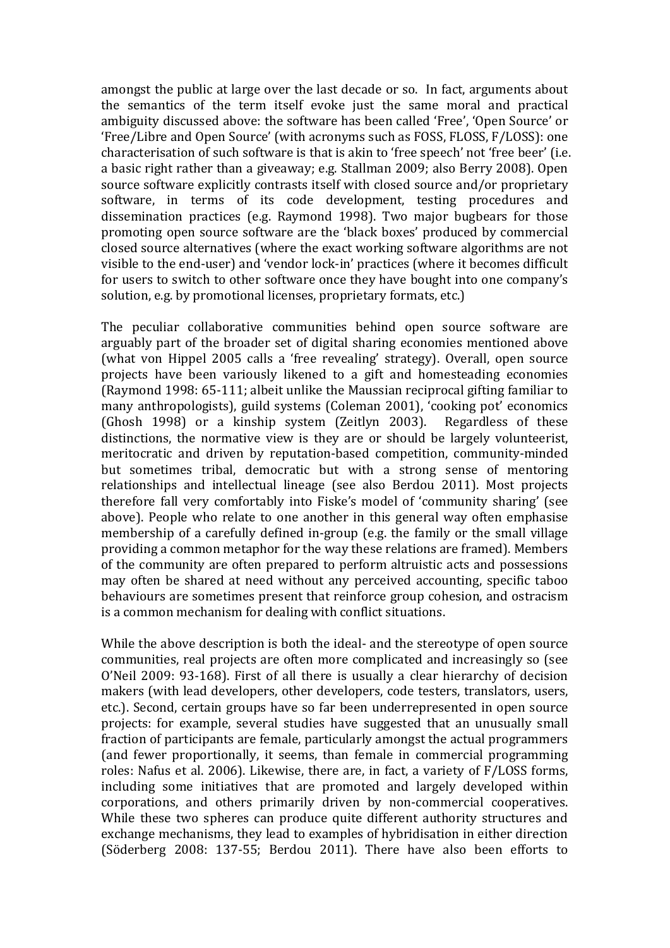amongst the public at large over the last decade or so. In fact, arguments about the semantics of the term itself evoke just the same moral and practical ambiguity discussed above: the software has been called 'Free', 'Open Source' or 'Free/Libre and Open Source' (with acronyms such as FOSS, FLOSS, F/LOSS): one characterisation of such software is that is akin to 'free speech' not 'free beer' (i.e. a basic right rather than a giveaway; e.g. Stallman 2009; also Berry 2008). Open source software explicitly contrasts itself with closed source and/or proprietary software, in terms of its code development, testing procedures and dissemination practices (e.g. Raymond 1998). Two major bugbears for those promoting open source software are the 'black boxes' produced by commercial closed source alternatives (where the exact working software algorithms are not visible to the end-user) and 'vendor lock-in' practices (where it becomes difficult for users to switch to other software once they have bought into one company's solution, e.g. by promotional licenses, proprietary formats, etc.)

The peculiar collaborative communities behind open source software are arguably part of the broader set of digital sharing economies mentioned above (what von Hippel 2005 calls a 'free revealing' strategy). Overall, open source projects have been variously likened to a gift and homesteading economies  $(Ravmond 1998: 65-111;$  albeit unlike the Maussian reciprocal gifting familiar to many anthropologists), guild systems (Coleman 2001), 'cooking pot' economics (Ghosh 1998) or a kinship system (Zeitlyn 2003). Regardless of these distinctions, the normative view is they are or should be largely volunteerist, meritocratic and driven by reputation-based competition, community-minded but sometimes tribal, democratic but with a strong sense of mentoring relationships and intellectual lineage (see also Berdou 2011). Most projects therefore fall very comfortably into Fiske's model of 'community sharing' (see above). People who relate to one another in this general way often emphasise membership of a carefully defined in-group (e.g. the family or the small village providing a common metaphor for the way these relations are framed). Members of the community are often prepared to perform altruistic acts and possessions may often be shared at need without any perceived accounting, specific taboo behaviours are sometimes present that reinforce group cohesion, and ostracism is a common mechanism for dealing with conflict situations.

While the above description is both the ideal- and the stereotype of open source communities, real projects are often more complicated and increasingly so (see O'Neil 2009: 93-168). First of all there is usually a clear hierarchy of decision makers (with lead developers, other developers, code testers, translators, users, etc.). Second, certain groups have so far been underrepresented in open source projects: for example, several studies have suggested that an unusually small fraction of participants are female, particularly amongst the actual programmers (and fewer proportionally, it seems, than female in commercial programming roles: Nafus et al. 2006). Likewise, there are, in fact, a variety of F/LOSS forms, including some initiatives that are promoted and largely developed within corporations, and others primarily driven by non-commercial cooperatives. While these two spheres can produce quite different authority structures and exchange mechanisms, they lead to examples of hybridisation in either direction (Söderberg  $2008: 137-55$ ; Berdou  $2011$ ). There have also been efforts to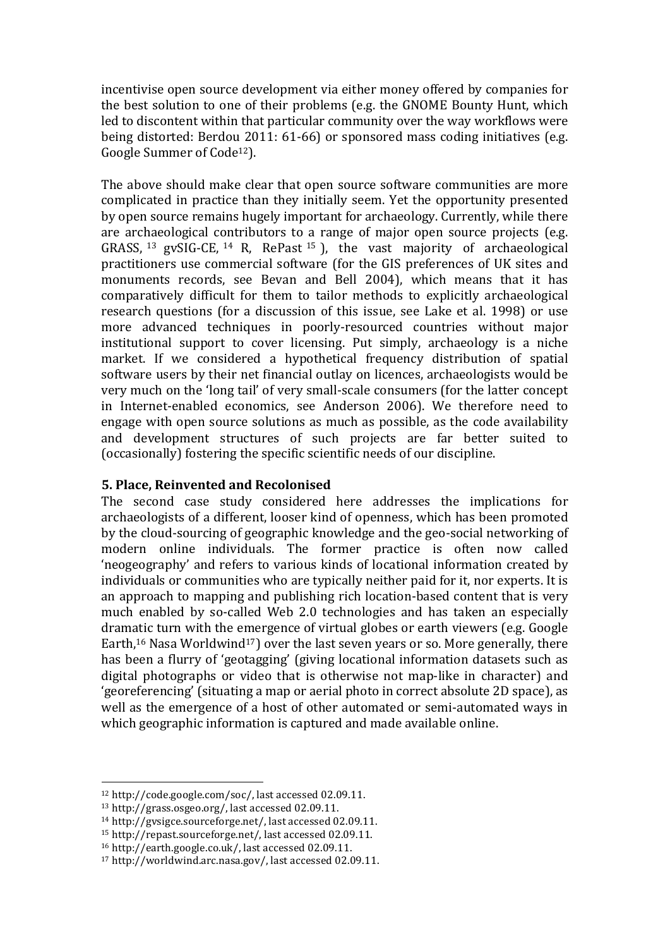incentivise open source development via either money offered by companies for the best solution to one of their problems (e.g. the GNOME Bounty Hunt, which led to discontent within that particular community over the way workflows were being distorted: Berdou 2011: 61-66) or sponsored mass coding initiatives (e.g. Google Summer of Code<sup>12</sup>).

The above should make clear that open source software communities are more complicated in practice than they initially seem. Yet the opportunity presented by open source remains hugely important for archaeology. Currently, while there are archaeological contributors to a range of major open source projects (e.g. GRASS, <sup>13</sup> gvSIG-CE, <sup>14</sup> R, RePast <sup>15</sup>), the vast majority of archaeological practitioners use commercial software (for the GIS preferences of UK sites and monuments records, see Bevan and Bell 2004), which means that it has comparatively difficult for them to tailor methods to explicitly archaeological research questions (for a discussion of this issue, see Lake et al. 1998) or use more advanced techniques in poorly-resourced countries without major institutional support to cover licensing. Put simply, archaeology is a niche market. If we considered a hypothetical frequency distribution of spatial software users by their net financial outlay on licences, archaeologists would be very much on the 'long tail' of very small-scale consumers (for the latter concept in Internet-enabled economics, see Anderson 2006). We therefore need to engage with open source solutions as much as possible, as the code availability and development structures of such projects are far better suited to (occasionally) fostering the specific scientific needs of our discipline.

#### **5. Place, Reinvented and Recolonised**

The second case study considered here addresses the implications for archaeologists of a different, looser kind of openness, which has been promoted by the cloud-sourcing of geographic knowledge and the geo-social networking of modern online individuals. The former practice is often now called 'neogeography' and refers to various kinds of locational information created by individuals or communities who are typically neither paid for it, nor experts. It is an approach to mapping and publishing rich location-based content that is very much enabled by so-called Web 2.0 technologies and has taken an especially dramatic turn with the emergence of virtual globes or earth viewers (e.g. Google Earth,<sup>16</sup> Nasa Worldwind<sup>17</sup>) over the last seven years or so. More generally, there has been a flurry of 'geotagging' (giving locational information datasets such as digital photographs or video that is otherwise not map-like in character) and 'georeferencing' (situating a map or aerial photo in correct absolute 2D space), as well as the emergence of a host of other automated or semi-automated ways in which geographic information is captured and made available online.

 $12$  http://code.google.com/soc/, last accessed 02.09.11.

 $13 \text{ http://grass.osgeo.org/}$ , last accessed 02.09.11.

 $14$  http://gvsigce.sourceforge.net/, last accessed 02.09.11.

 $15$  http://repast.sourceforge.net/, last accessed 02.09.11.

 $16$  http://earth.google.co.uk/, last accessed 02.09.11.

 $17$  http://worldwind.arc.nasa.gov/, last accessed 02.09.11.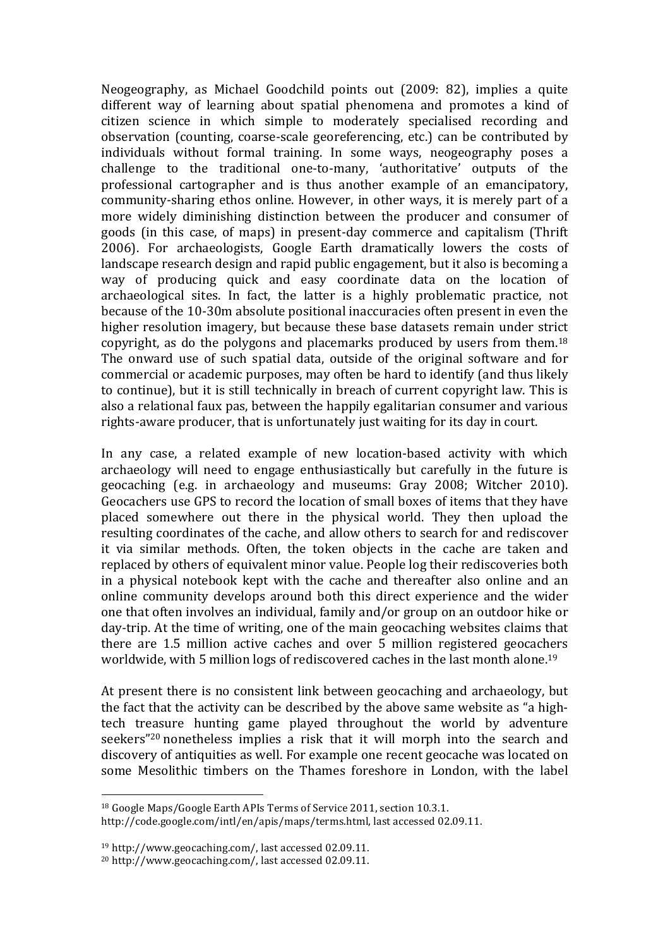Neogeography, as Michael Goodchild points out (2009: 82), implies a quite different way of learning about spatial phenomena and promotes a kind of citizen science in which simple to moderately specialised recording and observation (counting, coarse-scale georeferencing, etc.) can be contributed by individuals without formal training. In some ways, neogeography poses a challenge to the traditional one-to-many, 'authoritative' outputs of the professional cartographer and is thus another example of an emancipatory, community-sharing ethos online. However, in other ways, it is merely part of a more widely diminishing distinction between the producer and consumer of goods (in this case, of maps) in present-day commerce and capitalism (Thrift) 2006). For archaeologists, Google Earth dramatically lowers the costs of landscape research design and rapid public engagement, but it also is becoming a way of producing quick and easy coordinate data on the location of archaeological sites. In fact, the latter is a highly problematic practice, not because of the 10-30m absolute positional inaccuracies often present in even the higher resolution imagery, but because these base datasets remain under strict copyright, as do the polygons and placemarks produced by users from them. $^{18}$ The onward use of such spatial data, outside of the original software and for commercial or academic purposes, may often be hard to identify (and thus likely to continue), but it is still technically in breach of current copyright law. This is also a relational faux pas, between the happily egalitarian consumer and various rights-aware producer, that is unfortunately just waiting for its day in court.

In any case, a related example of new location-based activity with which archaeology will need to engage enthusiastically but carefully in the future is geocaching (e.g. in archaeology and museums: Gray 2008; Witcher 2010). Geocachers use GPS to record the location of small boxes of items that they have placed somewhere out there in the physical world. They then upload the resulting coordinates of the cache, and allow others to search for and rediscover it via similar methods. Often, the token objects in the cache are taken and replaced by others of equivalent minor value. People log their rediscoveries both in a physical notebook kept with the cache and thereafter also online and an online community develops around both this direct experience and the wider one that often involves an individual, family and/or group on an outdoor hike or day-trip. At the time of writing, one of the main geocaching websites claims that there are 1.5 million active caches and over 5 million registered geocachers worldwide, with 5 million logs of rediscovered caches in the last month alone.<sup>19</sup>

At present there is no consistent link between geocaching and archaeology, but the fact that the activity can be described by the above same website as "a hightech treasure hunting game played throughout the world by adventure seekers<sup>"20</sup> nonetheless implies a risk that it will morph into the search and discovery of antiquities as well. For example one recent geocache was located on some Mesolithic timbers on the Thames foreshore in London, with the label

<sup>&</sup>lt;sup>18</sup> Google Maps/Google Earth APIs Terms of Service 2011, section 10.3.1.

http://code.google.com/intl/en/apis/maps/terms.html, last accessed 02.09.11.

<sup>&</sup>lt;sup>19</sup> http://www.geocaching.com/, last accessed 02.09.11.

 $20$  http://www.geocaching.com/, last accessed 02.09.11.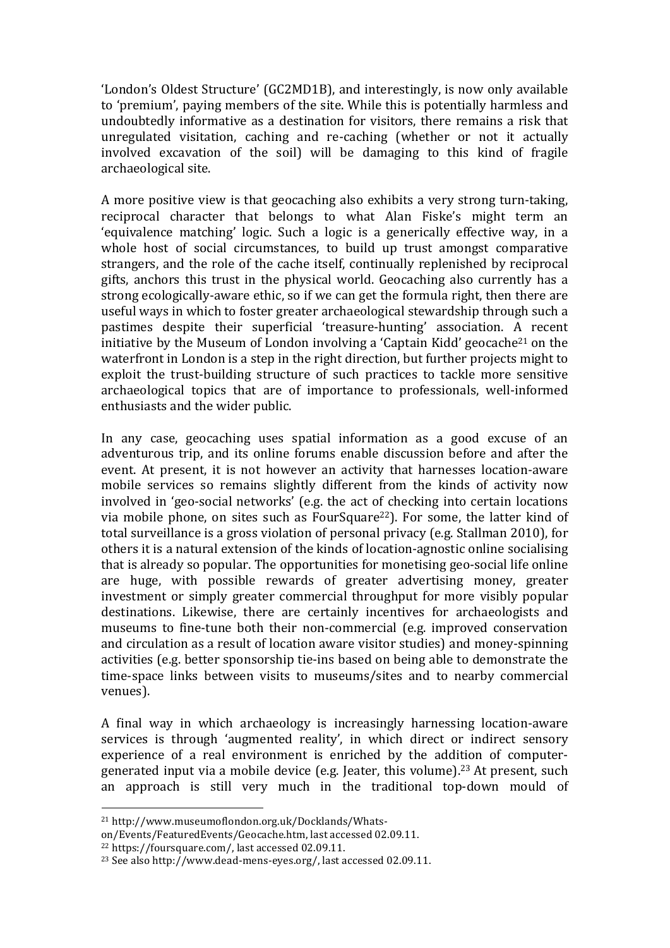'London's Oldest Structure' (GC2MD1B), and interestingly, is now only available to 'premium', paying members of the site. While this is potentially harmless and undoubtedly informative as a destination for visitors, there remains a risk that unregulated visitation, caching and re-caching (whether or not it actually involved excavation of the soil) will be damaging to this kind of fragile archaeological site.

A more positive view is that geocaching also exhibits a very strong turn-taking, reciprocal character that belongs to what Alan Fiske's might term an 'equivalence matching' logic. Such a logic is a generically effective way, in a whole host of social circumstances, to build up trust amongst comparative strangers, and the role of the cache itself, continually replenished by reciprocal gifts, anchors this trust in the physical world. Geocaching also currently has a strong ecologically-aware ethic, so if we can get the formula right, then there are useful ways in which to foster greater archaeological stewardship through such a pastimes despite their superficial 'treasure-hunting' association. A recent initiative by the Museum of London involving a 'Captain Kidd' geocache<sup>21</sup> on the waterfront in London is a step in the right direction, but further projects might to exploit the trust-building structure of such practices to tackle more sensitive archaeological topics that are of importance to professionals, well-informed enthusiasts and the wider public.

In any case, geocaching uses spatial information as a good excuse of an adventurous trip, and its online forums enable discussion before and after the event. At present, it is not however an activity that harnesses location-aware mobile services so remains slightly different from the kinds of activity now involved in 'geo-social networks' (e.g. the act of checking into certain locations via mobile phone, on sites such as FourSquare<sup>22</sup>). For some, the latter kind of total surveillance is a gross violation of personal privacy (e.g. Stallman 2010), for others it is a natural extension of the kinds of location-agnostic online socialising that is already so popular. The opportunities for monetising geo-social life online are huge, with possible rewards of greater advertising money, greater investment or simply greater commercial throughput for more visibly popular destinations. Likewise, there are certainly incentives for archaeologists and museums to fine-tune both their non-commercial (e.g. improved conservation and circulation as a result of location aware visitor studies) and money-spinning activities (e.g. better sponsorship tie-ins based on being able to demonstrate the time-space links between visits to museums/sites and to nearby commercial venues).

A final way in which archaeology is increasingly harnessing location-aware services is through 'augmented reality', in which direct or indirect sensory experience of a real environment is enriched by the addition of computergenerated input via a mobile device (e.g. Jeater, this volume).<sup>23</sup> At present, such an approach is still very much in the traditional top-down mould of

<sup>&</sup>lt;sup>21</sup> http://www.museumoflondon.org.uk/Docklands/Whats-

on/Events/FeaturedEvents/Geocache.htm, last accessed 02.09.11.

 $22$  https://foursquare.com/, last accessed 02.09.11.

<sup>&</sup>lt;sup>23</sup> See also http://www.dead-mens-eyes.org/, last accessed 02.09.11.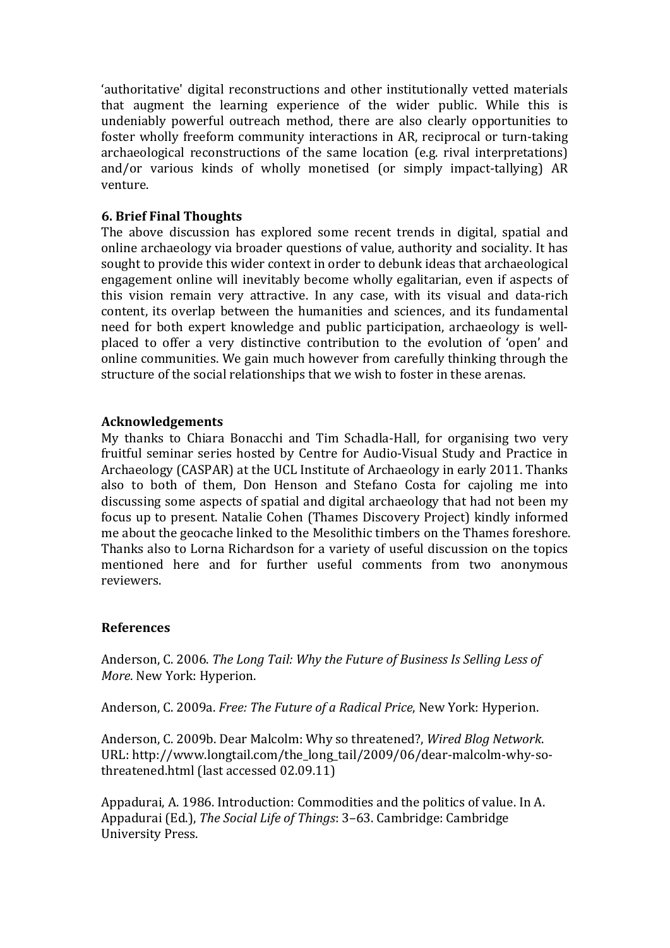'authoritative' digital reconstructions and other institutionally vetted materials that augment the learning experience of the wider public. While this is undeniably powerful outreach method, there are also clearly opportunities to foster wholly freeform community interactions in AR, reciprocal or turn-taking archaeological reconstructions of the same location (e.g. rival interpretations) and/or various kinds of wholly monetised (or simply impact-tallying)  $AR$ venture.

## **6.'Brief'Final'Thoughts**

The above discussion has explored some recent trends in digital, spatial and online archaeology via broader questions of value, authority and sociality. It has sought to provide this wider context in order to debunk ideas that archaeological engagement online will inevitably become wholly egalitarian, even if aspects of this vision remain very attractive. In any case, with its visual and data-rich content, its overlap between the humanities and sciences, and its fundamental need for both expert knowledge and public participation, archaeology is wellplaced to offer a very distinctive contribution to the evolution of 'open' and online communities. We gain much however from carefully thinking through the structure of the social relationships that we wish to foster in these arenas.

## **Acknowledgements**

My thanks to Chiara Bonacchi and Tim Schadla-Hall, for organising two very fruitful seminar series hosted by Centre for Audio-Visual Study and Practice in Archaeology (CASPAR) at the UCL Institute of Archaeology in early 2011. Thanks also to both of them, Don Henson and Stefano Costa for cajoling me into discussing some aspects of spatial and digital archaeology that had not been my focus up to present. Natalie Cohen (Thames Discovery Project) kindly informed me about the geocache linked to the Mesolithic timbers on the Thames foreshore. Thanks also to Lorna Richardson for a variety of useful discussion on the topics mentioned here and for further useful comments from two anonymous reviewers.

## **References**

Anderson, C. 2006. *The Long Tail: Why the Future of Business Is Selling Less of More*. New York: Hyperion.

Anderson, C. 2009a. *Free: The Future of a Radical Price*, New York: Hyperion.

Anderson, C. 2009b. Dear Malcolm: Why so threatened?, *Wired Blog Network*. URL: http://www.longtail.com/the\_long\_tail/2009/06/dear-malcolm-why-sothreatened.html (last accessed 02.09.11)

Appadurai, A. 1986. Introduction: Commodities and the politics of value. In A. Appadurai (Ed.), *The Social Life of Things*: 3–63. Cambridge: Cambridge University Press.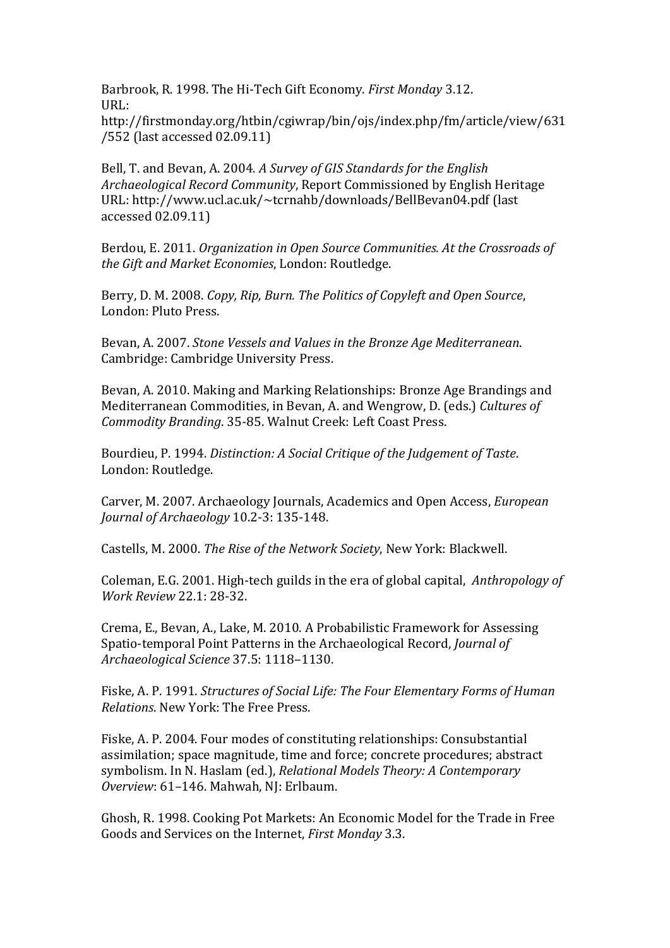Barbrook, R. 1998. The Hi-Tech Gift Economy. *First Monday* 3.12. URL:

http://firstmonday.org/htbin/cgiwrap/bin/ojs/index.php/fm/article/view/631 /552 (last accessed 02.09.11)

Bell, T. and Bevan, A. 2004. *A Survey of GIS Standards for the English Archaeological Record Community*, Report Commissioned by English Heritage URL: http://www.ucl.ac.uk/~tcrnahb/downloads/BellBevan04.pdf (last accessed 02.09.11)

Berdou, E. 2011. *Organization in Open Source Communities. At the Crossroads of the+Gift+and+Market+Economies*,!London: Routledge.

Berry, D. M. 2008. *Copy, Rip, Burn. The Politics of Copyleft and Open Source*, London: Pluto Press.

Bevan, A. 2007. *Stone Vessels and Values in the Bronze Age Mediterranean.* Cambridge: Cambridge University Press.

Bevan, A. 2010. Making and Marking Relationships: Bronze Age Brandings and Mediterranean Commodities, in Bevan, A. and Wengrow, D. (eds.) Cultures of *Commodity Branding.* 35-85. Walnut Creek: Left Coast Press.

Bourdieu, P. 1994. *Distinction: A Social Critique of the Judgement of Taste.* London: Routledge.

Carver, M. 2007. Archaeology Journals, Academics and Open Access, *European Journal of Archaeology* 10.2-3: 135-148.

Castells, M. 2000. *The Rise of the Network Society*, New York: Blackwell.

Coleman, E.G. 2001. High-tech guilds in the era of global capital, *Anthropology of Work Review* 22.1: 28-32.

Crema, E., Bevan, A., Lake, M. 2010. A Probabilistic Framework for Assessing Spatio-temporal Point Patterns in the Archaeological Record, *Journal of Archaeological+Science+*37.5:!1118–1130.

Fiske, A. P. 1991. *Structures of Social Life: The Four Elementary Forms of Human Relations*. New York: The Free Press.

Fiske, A. P. 2004. Four modes of constituting relationships: Consubstantial assimilation; space magnitude, time and force; concrete procedures; abstract symbolism. In N. Haslam (ed.), *Relational Models Theory: A Contemporary* Overview: 61-146. Mahwah, NJ: Erlbaum.

Ghosh, R. 1998. Cooking Pot Markets: An Economic Model for the Trade in Free Goods and Services on the Internet, *First Monday* 3.3.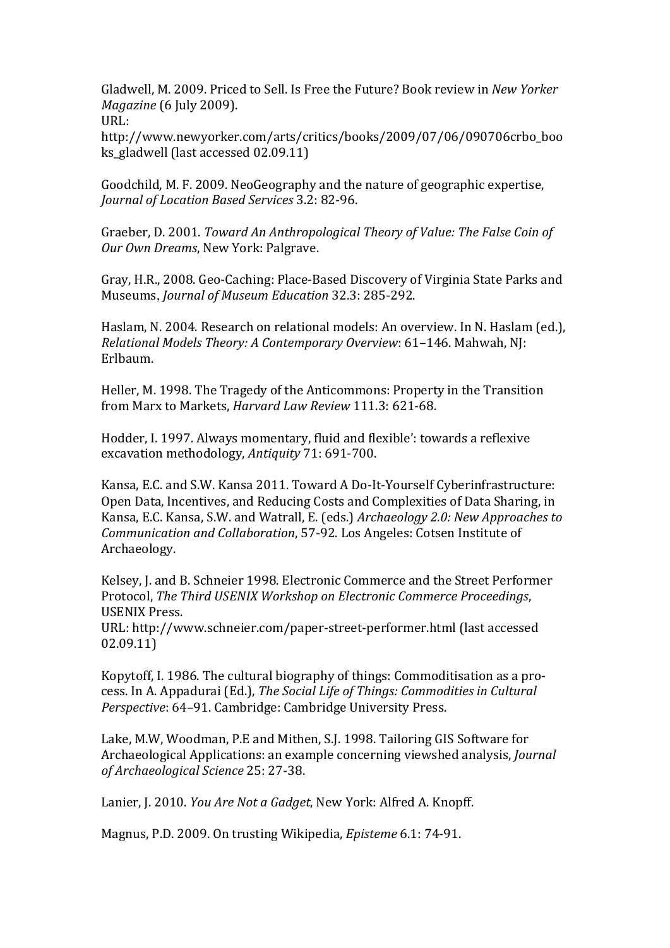Gladwell, M. 2009. Priced to Sell. Is Free the Future? Book review in *New Yorker Magazine* (6 July 2009).

 $URL:$ 

http://www.newyorker.com/arts/critics/books/2009/07/06/090706crbo\_boo ks\_gladwell (last accessed 02.09.11)

Goodchild, M. F. 2009. NeoGeography and the nature of geographic expertise, *Journal of Location Based Services* 3.2: 82-96.

Graeber, D. 2001. *Toward An Anthropological Theory of Value: The False Coin of Our Own Dreams*, New York: Palgrave.

Gray, H.R., 2008. Geo-Caching: Place-Based Discovery of Virginia State Parks and Museums, *Journal of Museum Education* 32.3: 285-292.

Haslam, N. 2004. Research on relational models: An overview. In N. Haslam (ed.), *Relational Models Theory: A Contemporary Overview: 61-146. Mahwah, NJ:* Erlbaum.

Heller, M. 1998. The Tragedy of the Anticommons: Property in the Transition from Marx to Markets, *Harvard Law Review* 111.3: 621-68.

Hodder, I. 1997. Always momentary, fluid and flexible': towards a reflexive excavation methodology, *Antiquity* 71: 691-700.

Kansa, E.C. and S.W. Kansa 2011. Toward A Do-It-Yourself Cyberinfrastructure: Open Data, Incentives, and Reducing Costs and Complexities of Data Sharing, in Kansa, E.C. Kansa, S.W. and Watrall, E. (eds.) *Archaeology 2.0: New Approaches to Communication and Collaboration,* 57-92. Los Angeles: Cotsen Institute of Archaeology.

Kelsey, J. and B. Schneier 1998. Electronic Commerce and the Street Performer Protocol, *The Third USENIX Workshop on Electronic Commerce Proceedings*, USENIX!Press.

URL: http://www.schneier.com/paper-street-performer.html (last accessed 02.09.11)

Kopytoff, I. 1986. The cultural biography of things: Commoditisation as a process. In A. Appadurai (Ed.), *The Social Life of Things: Commodities in Cultural Perspective:* 64–91. Cambridge: Cambridge University Press.

Lake, M.W. Woodman, P.E and Mithen, S.J. 1998. Tailoring GIS Software for Archaeological Applications: an example concerning viewshed analysis, *Journal of Archaeological Science 25: 27-38.* 

Lanier, J. 2010. *You Are Not a Gadget*, New York: Alfred A. Knopff.

Magnus, P.D. 2009. On trusting Wikipedia, *Episteme* 6.1: 74-91.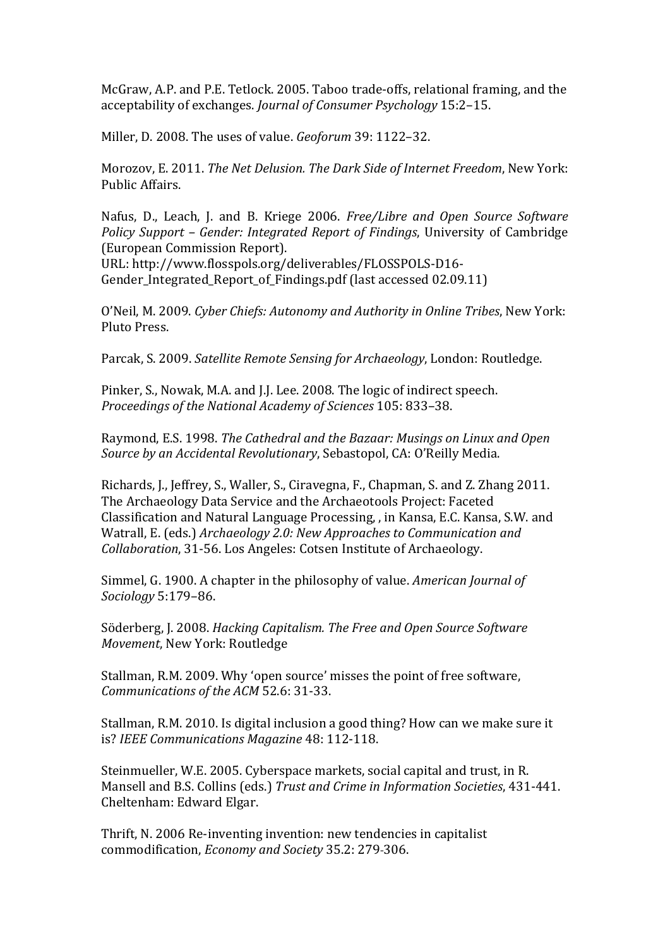McGraw, A.P. and P.E. Tetlock. 2005. Taboo trade-offs, relational framing, and the acceptability of exchanges. *Journal of Consumer Psychology* 15:2–15.

Miller, D. 2008. The uses of value. *Geoforum* 39: 1122-32.

Morozov, E. 2011. *The Net Delusion. The Dark Side of Internet Freedom*, New York: Public!Affairs.

Nafus, D., Leach, J. and B. Kriege 2006. *Free/Libre and Open Source Software Policy Support – Gender: Integrated Report of Findings*, University of Cambridge (European Commission Report).

URL: http://www.flosspols.org/deliverables/FLOSSPOLS-D16-Gender Integrated Report of Findings.pdf (last accessed 02.09.11)

O'Neil, M. 2009. *Cyber Chiefs: Autonomy and Authority in Online Tribes*, New York: Pluto Press.

Parcak, S. 2009. *Satellite Remote Sensing for Archaeology*, London: Routledge.

Pinker, S., Nowak, M.A. and J.J. Lee. 2008. The logic of indirect speech. *Proceedings of the National Academy of Sciences* 105: 833–38.

Raymond, E.S. 1998. *The Cathedral and the Bazaar: Musings on Linux and Open Source by an Accidental Revolutionary*, Sebastopol, CA: O'Reilly Media.

Richards, J., Jeffrey, S., Waller, S., Ciravegna, F., Chapman, S. and Z. Zhang 2011. The Archaeology Data Service and the Archaeotools Project: Faceted Classification and Natural Language Processing, , in Kansa, E.C. Kansa, S.W. and Watrall, E. (eds.) *Archaeology 2.0: New Approaches to Communication and Collaboration*, 31-56. Los Angeles: Cotsen Institute of Archaeology.

Simmel, G. 1900. A chapter in the philosophy of value. *American Journal of Sociology*!5:179–86.

Söderberg, J. 2008. *Hacking Capitalism. The Free and Open Source Software Movement, New York: Routledge* 

Stallman, R.M. 2009. Why 'open source' misses the point of free software, *Communications of the ACM* 52.6: 31-33.

Stallman, R.M. 2010. Is digital inclusion a good thing? How can we make sure it is? *IEEE Communications Magazine* 48: 112-118.

Steinmueller, W.E. 2005. Cyberspace markets, social capital and trust, in R. Mansell and B.S. Collins (eds.) *Trust and Crime in Information Societies*, 431-441. Cheltenham: Edward Elgar.

Thrift, N. 2006 Re-inventing invention: new tendencies in capitalist commodification, *Economy and Society* 35.2: 279-306.